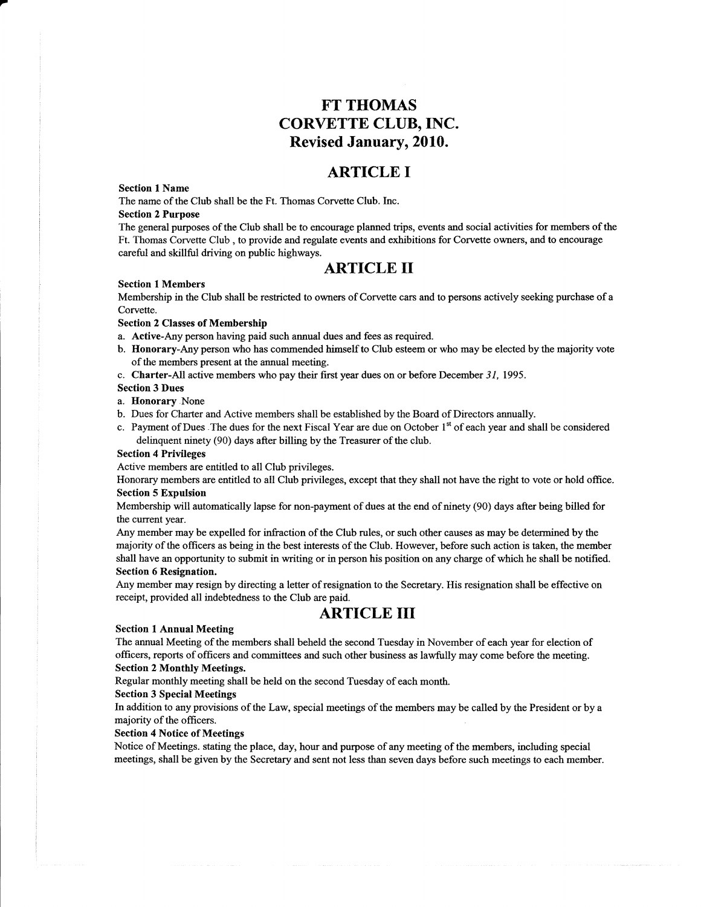# FT THOMAS CORVETTE CLUB,INC. Revised January, 2010.

# ARTICLE I

### Section I Name

The name of the Club shall be the Ft. Thomas Corvette Club. Inc.

### Section 2 Purpose

The general purposes of the Club shall be to encourage planned trips, events and social activities for members of the Ft. Thomas Corvette Club , to provide and regulate events and exhibitions for Corvette owners, and to encourage careful and skillful driving on public highways.

# ARTICLE II

#### Section l Members

Membership in the Club shall be restricted to owners of Corvette cars and to persons actively seeking purchase of a Corvette.

### Section 2 Classes of Membership

- a. Active-Any person having paid such annual dues and fees as required.
- b. Honorary-Any person who has commended himself to Club esteem or who may be elected by the majority vote of the members present at the annual meeting.
- c. Charter-All active members who pay their first year dues on or before December  $31$ , 1995.

#### Section 3 Dues

- a. Ilonorary.None
- b. Dues for Charter and Active members shall be established by the Board of Directors annually.
- c. Payment of Dues . The dues for the next Fiscal Year are due on October 1<sup>st</sup> of each year and shall be considered delinquent ninety (90) days after billing by the Treasurer of the club.

#### Section 4 Privileges

Active members are entitled to all Club privileges.

Honorary members are entitled to all Club privileges, except that they shall not have the right to vote or hold office. Section 5 Expulsion

Membership will automatically lapse for non-payment of dues at the end of ninety (90) days after being bitled for the current year.

Any member may be expelled for infraction of the Club rules, or such other causes as may be detemrined by the majority of the officers as being in the best interests of the Club. However, before such action is taken, the member shall have an opportunity to submit in writing or in person his position on any charge of which he shall be notified. Section 6 Resignation.

Any member may resign by directing a letter of resignation to the Secretary. His resignation shall be effective on receipt, provided all indebtedness to the Club are paid.

# ARTICLE III

#### Section I Annual Meeting

The annual Meeting of the members shall beheld the second Tuesday in November of each year for election of officers, reports of officers and committees and such other business as lawfully may come before the meeting.

### Section 2 Monthly Meetings.

Regular monthly meeting shall be held on the second Tuesday of each month.

## Section 3 Special Meetings

In addition to any provisions of the Law, special meetings of the members may be called by the President or by a majority of the officers.

## Section 4 Notice of Meetings

Notice of Meetings. stating the place, day, hour and purpose of any meeting of the members, including special meetings, shall be given by the Secretary and sent not less than seven days before such meetings to each mernber.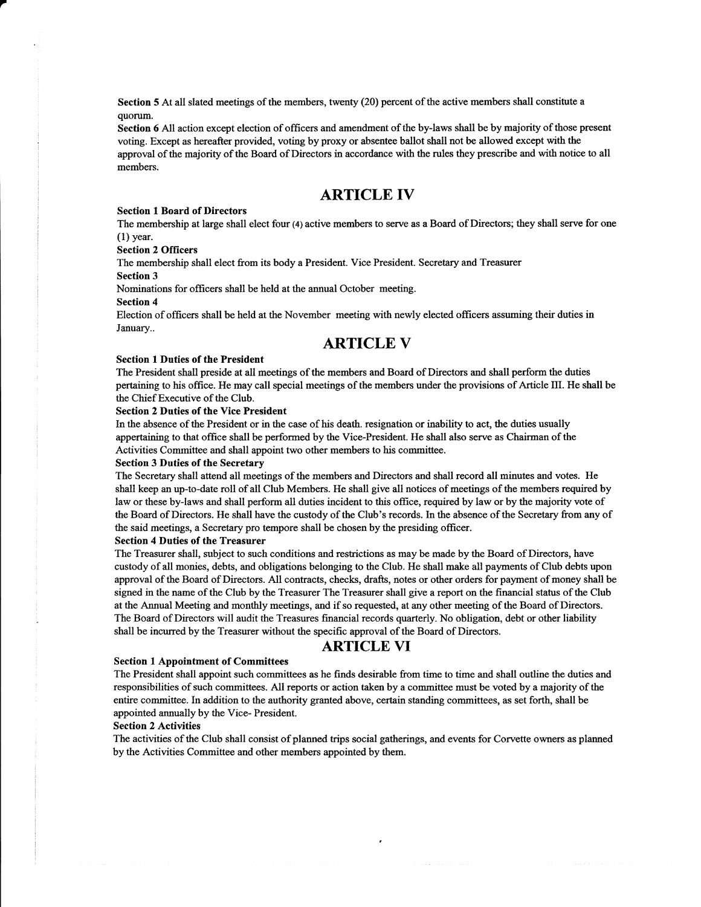Section 5 At all slated meetings of the members, twenty (20) percent of the active members shall constitute a quorum.

Section 6 All action except election of officers and amendment of the by-laws shall be by majority of those present voting. Except as hereafter provided, voting by proxy or absentee ballot shall not be allowed except with the approval of the majority of the Board of Directors in accordance with the rules they prescribe and with notice to all members.

# ARTICLE IV

#### Section I Board of Directors

The membership at large shall elect four (4) active members to serve as a Board of Directors; they shall serve for one (1) year.

#### Section 2 Officers

The membership shall elect from its body a President. Vice President. Secretary and Treasurer Section 3

Nominations for officers shall be held at the annual October meeting.

#### Section 4

Election of officers shall be held at the November meeting with newly elected offrcers assuming their duties in January..

# ARTICLE Y

#### Section I Duties of the President

The President shall preside at all meetings of the members and Board of Directors and shall perform the duties pertaining to his office. He may call special meetings of the members under the provisions of Article III. He shall be the Chief Executive of the Club.

#### Section 2 Duties of the Vice President

In the absence of the President or in the case of his death. resignation or inability to act, the duties usually appertaining to that office shall be performed by the Vice-President. He shall also serve as Chairman of the Activities Committee and shall appoint two other members to his committee.

#### Section 3 Duties of the Secretary

The Secretary shall attend all meetings of the members and Directors and shall record all minutes and votes. He shall keep an up-to-date roll of all Club Members. He shall give all notices of meetings of the members required by law or these by-laws and shall perform all duties incident to this offrce, required by law or by the majority vote of the Board of Diregtors. He shall have the custody of the Club's records. In the absence of the Secretary from any of the said meetings, a Secretary pro tempore shall be chosen by the presiding officer.

### Section 4 Duties of the Treasurer

The Treasurer shall, subject to such conditions and restrictions as may be made by the Board of Directors, have custody of all monies, debts, and obligations belonging to the Club. He shall make all payments of Club debts upon approval of the Board of Directors. All contracts, checks, drafts, notes or other orders for payment of money shall be signed in the name of the Club by the Treasurer The Treasurer shall give a report on the financial status of the Club at the Annual Meeting aud monthly meetings, and if so requested, at any other meeting of the Board of Directors. The Board of Directors will audit the Treasures financial records quarterly. No obligation, debt or other liability shall be incurred by the Treasurer without the specific approval of the Board of Directors.

## ARTICLE YI

## Section 1 Appolntment of Committees

The President shall appoint such committees as he finds desirable from time to time and shall outline the duties and responsibilities of such committees. All reports or action taken by a committee must be voted by a majority of the entire committee. In addition to the authority granted above, certain standing committees, as set forth, shall be appointed armually by the Vice- President.

#### Section 2 Activities

The activities of the Club shall consist of planned trips social gatherings, and events for Corvette owners as planned by the Activities Committee and other members appointed by them.